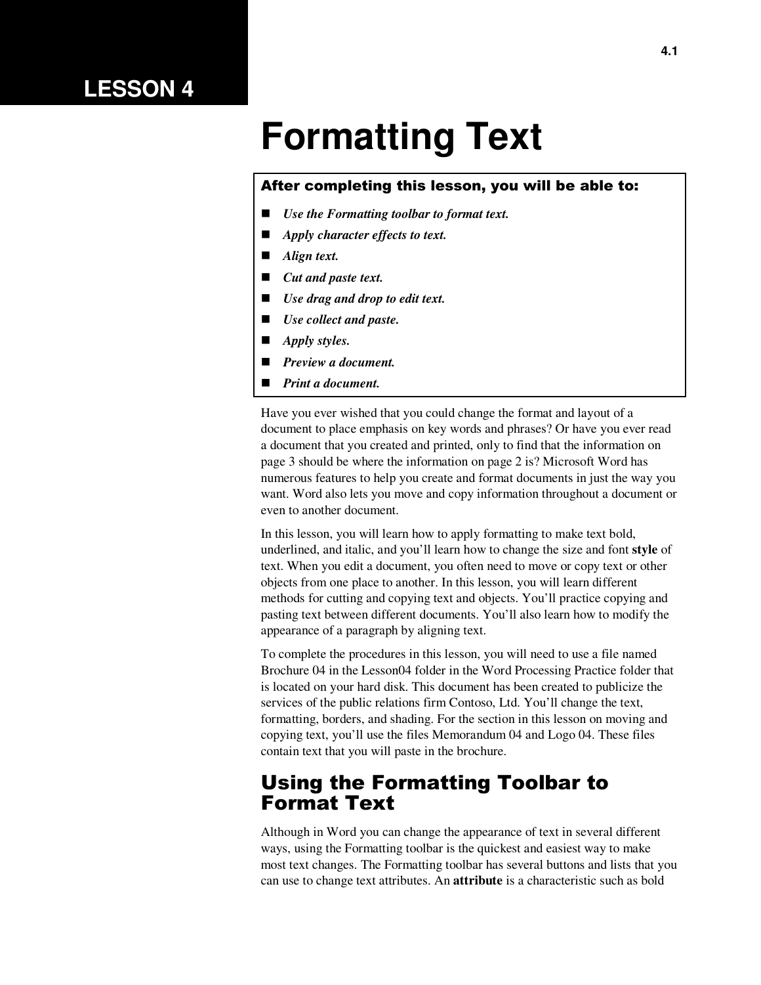# **LESSON 4**

# **Formatting Text**

#### After completing this lesson, you will be able to:

- *Use the Formatting toolbar to format text.*
- *Apply character effects to text.*
- *Align text.*
- *Cut and paste text.*
- *Use drag and drop to edit text.*
- *Use collect and paste.*
- *Apply styles.*
- *Preview a document.*
- *Print a document.*

Have you ever wished that you could change the format and layout of a document to place emphasis on key words and phrases? Or have you ever read a document that you created and printed, only to find that the information on page 3 should be where the information on page 2 is? Microsoft Word has numerous features to help you create and format documents in just the way you want. Word also lets you move and copy information throughout a document or even to another document.

In this lesson, you will learn how to apply formatting to make text bold, underlined, and italic, and you'll learn how to change the size and font **style** of text. When you edit a document, you often need to move or copy text or other objects from one place to another. In this lesson, you will learn different methods for cutting and copying text and objects. You'll practice copying and pasting text between different documents. You'll also learn how to modify the appearance of a paragraph by aligning text.

To complete the procedures in this lesson, you will need to use a file named Brochure 04 in the Lesson04 folder in the Word Processing Practice folder that is located on your hard disk. This document has been created to publicize the services of the public relations firm Contoso, Ltd. You'll change the text, formatting, borders, and shading. For the section in this lesson on moving and copying text, you'll use the files Memorandum 04 and Logo 04. These files contain text that you will paste in the brochure.

### Using the Formatting Toolbar to Format Text

Although in Word you can change the appearance of text in several different ways, using the Formatting toolbar is the quickest and easiest way to make most text changes. The Formatting toolbar has several buttons and lists that you can use to change text attributes. An **attribute** is a characteristic such as bold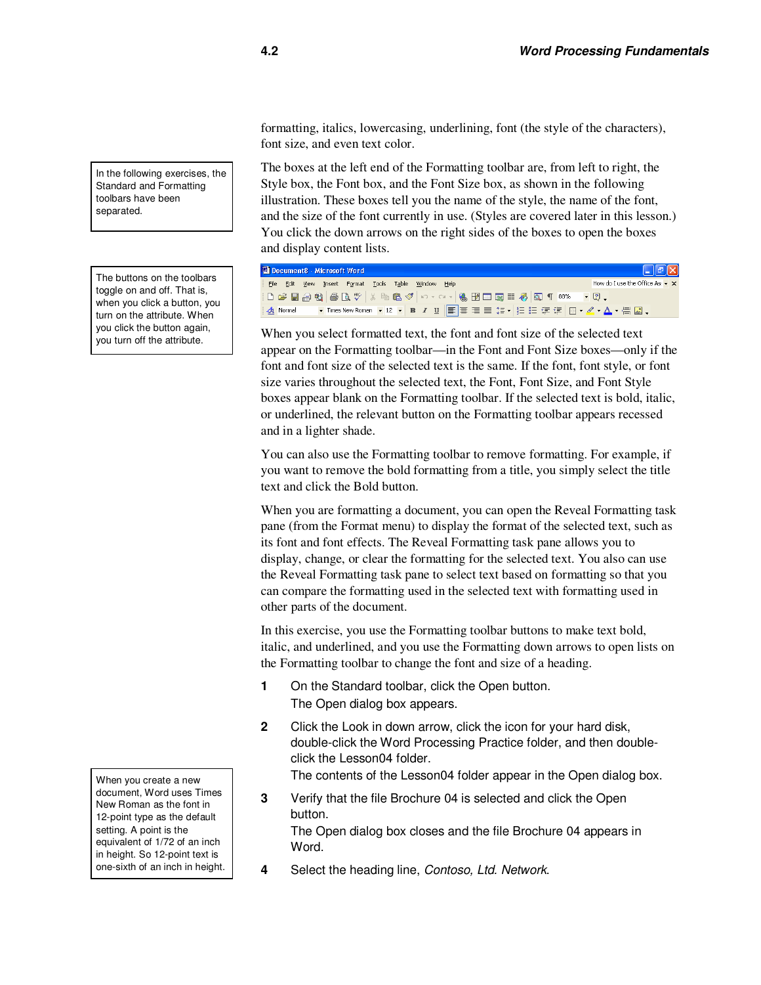In the following exercises, the Standard and Formatting toolbars have been separated.

The buttons on the toolbars toggle on and off. That is, when you click a button, you turn on the attribute. When you click the button again, you turn off the attribute.

When you create a new document, Word uses Times New Roman as the font in 12-point type as the default setting. A point is the equivalent of 1/72 of an inch in height. So 12-point text is one-sixth of an inch in height. formatting, italics, lowercasing, underlining, font (the style of the characters), font size, and even text color.

The boxes at the left end of the Formatting toolbar are, from left to right, the Style box, the Font box, and the Font Size box, as shown in the following illustration. These boxes tell you the name of the style, the name of the font, and the size of the font currently in use. (Styles are covered later in this lesson.) You click the down arrows on the right sides of the boxes to open the boxes and display content lists.

```
Document8 - Microsoft Word
                                                                       \Box \BoxFile Edit View Insert Format Tools Table Window Help
                                                              How do I use the Office As: \star X
D<del>FEBQ</del>BQ<sup>*</sup> X ™ & <u><</u> o · a · | & FEB # + Q T **
                                                            -2.
          4 Normal
```
When you select formatted text, the font and font size of the selected text appear on the Formatting toolbar—in the Font and Font Size boxes—only if the font and font size of the selected text is the same. If the font, font style, or font size varies throughout the selected text, the Font, Font Size, and Font Style boxes appear blank on the Formatting toolbar. If the selected text is bold, italic, or underlined, the relevant button on the Formatting toolbar appears recessed and in a lighter shade.

You can also use the Formatting toolbar to remove formatting. For example, if you want to remove the bold formatting from a title, you simply select the title text and click the Bold button.

When you are formatting a document, you can open the Reveal Formatting task pane (from the Format menu) to display the format of the selected text, such as its font and font effects. The Reveal Formatting task pane allows you to display, change, or clear the formatting for the selected text. You also can use the Reveal Formatting task pane to select text based on formatting so that you can compare the formatting used in the selected text with formatting used in other parts of the document.

In this exercise, you use the Formatting toolbar buttons to make text bold, italic, and underlined, and you use the Formatting down arrows to open lists on the Formatting toolbar to change the font and size of a heading.

- **1** On the Standard toolbar, click the Open button. The Open dialog box appears.
- **2** Click the Look in down arrow, click the icon for your hard disk, double-click the Word Processing Practice folder, and then doubleclick the Lesson04 folder.

The contents of the Lesson04 folder appear in the Open dialog box.

**3** Verify that the file Brochure 04 is selected and click the Open button. The Open dialog box closes and the file Brochure 04 appears in

Word.

**4** Select the heading line, Contoso, Ltd. Network.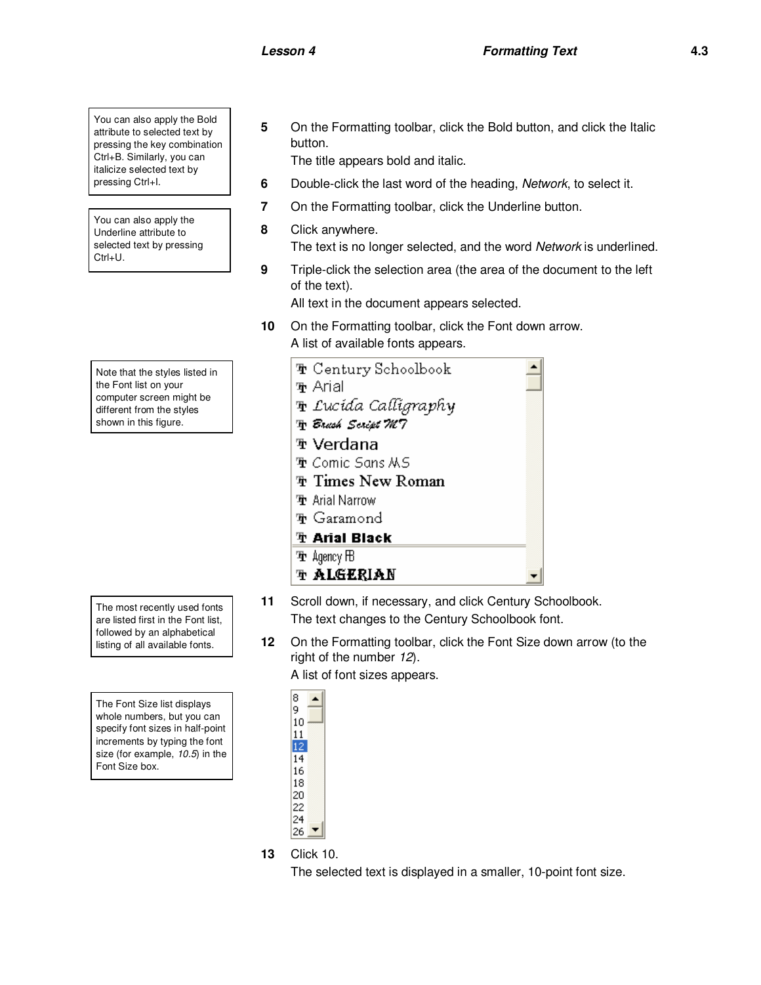You can also apply the Bold attribute to selected text by pressing the key combination Ctrl+B. Similarly, you can italicize selected text by pressing Ctrl+I.

You can also apply the Underline attribute to selected text by pressing Ctrl+U.

Note that the styles listed in the Font list on your computer screen might be different from the styles shown in this figure.

The most recently used fonts are listed first in the Font list, followed by an alphabetical listing of all available fonts.

The Font Size list displays whole numbers, but you can specify font sizes in half-point increments by typing the font size (for example, 10.5) in the Font Size box.

**5** On the Formatting toolbar, click the Bold button, and click the Italic button.

The title appears bold and italic.

- **6** Double-click the last word of the heading, Network, to select it.
- **7** On the Formatting toolbar, click the Underline button.
- **8** Click anywhere.
	- The text is no longer selected, and the word Network is underlined.
- **9** Triple-click the selection area (the area of the document to the left of the text).

All text in the document appears selected.

- **10** On the Formatting toolbar, click the Font down arrow. A list of available fonts appears.
	- h Century Schoolbook **T**  $\blacktriangle$ দ Arial ъ Lucida Calligraphy Ir Brush Script M7 **T** Verdana 軍 Comic Sans 从S **The Times New Roman** 生 Arial Narrow h Garamond **亚 Arial Black** Tir Agency FB 4 ALGERIAN
- **11** Scroll down, if necessary, and click Century Schoolbook. The text changes to the Century Schoolbook font.
- **12** On the Formatting toolbar, click the Font Size down arrow (to the right of the number 12).

A list of font sizes appears.



**13** Click 10.

The selected text is displayed in a smaller, 10-point font size.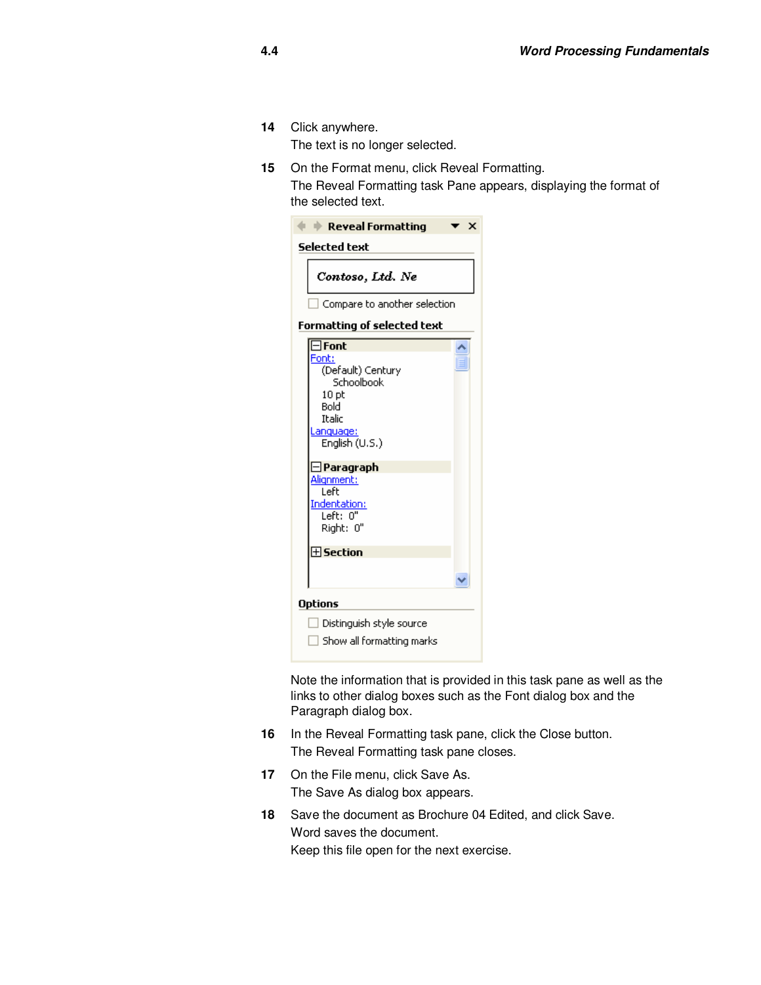**14** Click anywhere.

The text is no longer selected.

**15** On the Format menu, click Reveal Formatting. The Reveal Formatting task Pane appears, displaying the format of the selected text.

| <b>Reveal Formatting</b>                                                                                                                                                                                                                   |
|--------------------------------------------------------------------------------------------------------------------------------------------------------------------------------------------------------------------------------------------|
| <b>Selected text</b>                                                                                                                                                                                                                       |
| Contoso, Ltd. Ne                                                                                                                                                                                                                           |
| □ Compare to another selection                                                                                                                                                                                                             |
| Formatting of selected text                                                                                                                                                                                                                |
| ∃Font<br>Font:<br>(Default) Century<br>Schoolbook<br>10 <sub>pt</sub><br>Bold<br>Thalic<br>Language:<br>English $(U.S.)$<br>$\exists$ Paragraph<br><u> Alignment:</u><br>Left<br>Indentation:<br>Left: 0"<br>Right: 0"<br><b>⊞</b> Section |
| Options                                                                                                                                                                                                                                    |
| Distinguish style source                                                                                                                                                                                                                   |
| $\Box$ Show all formatting marks                                                                                                                                                                                                           |

Note the information that is provided in this task pane as well as the links to other dialog boxes such as the Font dialog box and the Paragraph dialog box.

- **16** In the Reveal Formatting task pane, click the Close button. The Reveal Formatting task pane closes.
- 17 On the File menu, click Save As. The Save As dialog box appears.
- **18** Save the document as Brochure 04 Edited, and click Save. Word saves the document. Keep this file open for the next exercise.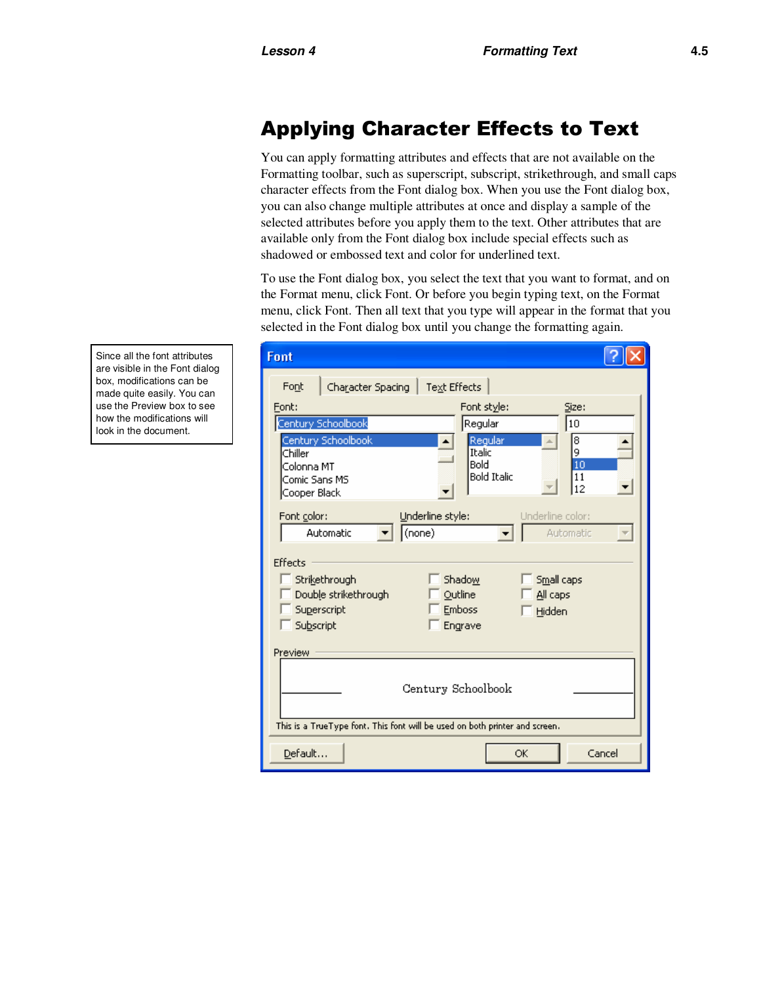# Applying Character Effects to Text

You can apply formatting attributes and effects that are not available on the Formatting toolbar, such as superscript, subscript, strikethrough, and small caps character effects from the Font dialog box. When you use the Font dialog box, you can also change multiple attributes at once and display a sample of the selected attributes before you apply them to the text. Other attributes that are available only from the Font dialog box include special effects such as shadowed or embossed text and color for underlined text.

To use the Font dialog box, you select the text that you want to format, and on the Format menu, click Font. Or before you begin typing text, on the Format menu, click Font. Then all text that you type will appear in the format that you selected in the Font dialog box until you change the formatting again.

| <b>Font</b>                                                                                                                                                         |  |  |
|---------------------------------------------------------------------------------------------------------------------------------------------------------------------|--|--|
| Character Spacing   Text Effects<br>Font                                                                                                                            |  |  |
| Font style:<br>Font:<br>Size:<br>Century Schoolbook<br>10<br>Regular                                                                                                |  |  |
| Century Schoolbook<br>Regular<br>18<br>9<br>Thalic<br>Chiller<br><b>Bold</b><br>10<br>Colonna MT<br><b>Bold Italic</b><br>11<br>Comic Sans MS<br>12<br>Cooper Black |  |  |
| Underline style:<br>Underline color:<br>Font color:<br>Automatic<br>(none)<br>Automatic                                                                             |  |  |
| Effects<br>Strikethrough<br>Shadow<br>Small caps<br>Double strikethrough<br>Outline<br>All caps<br><b>Emboss</b><br>Superscript<br>Hidden<br>Subscript<br>Engrave   |  |  |
| Preview<br>Century Schoolbook<br>This is a TrueType font. This font will be used on both printer and screen.                                                        |  |  |
| Default<br>Cancel<br>OK                                                                                                                                             |  |  |

Since all the font attributes are visible in the Font dialog box, modifications can be made quite easily. You can use the Preview box to see how the modifications will look in the document.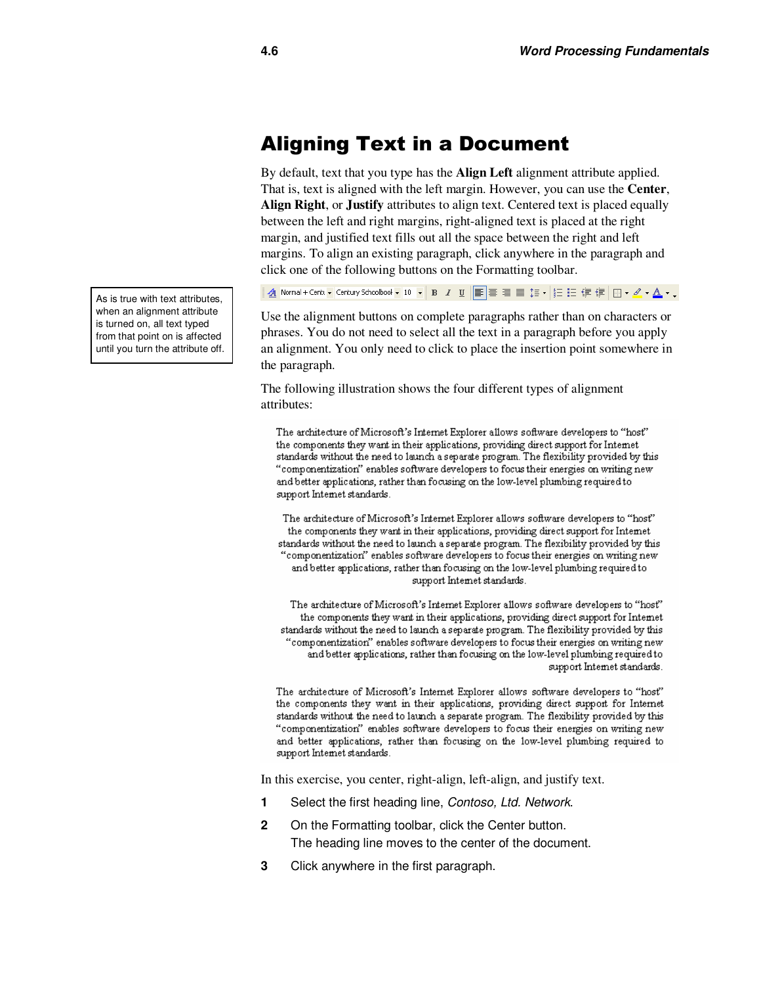# Aligning Text in a Document

By default, text that you type has the **Align Left** alignment attribute applied. That is, text is aligned with the left margin. However, you can use the **Center**, **Align Right**, or **Justify** attributes to align text. Centered text is placed equally between the left and right margins, right-aligned text is placed at the right margin, and justified text fills out all the space between the right and left margins. To align an existing paragraph, click anywhere in the paragraph and click one of the following buttons on the Formatting toolbar.

Use the alignment buttons on complete paragraphs rather than on characters or phrases. You do not need to select all the text in a paragraph before you apply an alignment. You only need to click to place the insertion point somewhere in the paragraph.

The following illustration shows the four different types of alignment attributes:

The architecture of Microsoft's Internet Explorer allows software developers to "host" the components they want in their applications, providing direct support for Internet standards without the need to launch a separate program. The flexibility provided by this "componentization" enables software developers to focus their energies on writing new and better applications, rather than focusing on the low-level plumbing required to support Internet standards.

The architecture of Microsoft's Internet Explorer allows software developers to "host" the components they want in their applications, providing direct support for Internet standards without the need to launch a separate program. The flexibility provided by this "componentization" enables software developers to focus their energies on writing new and better applications, rather than focusing on the low-level plumbing required to support Internet standards.

The architecture of Microsoft's Internet Explorer allows software developers to "host" the components they want in their applications, providing direct support for Internet standards without the need to launch a separate program. The flexibility provided by this "componentization" enables software developers to focus their energies on writing new and better applications, rather than focusing on the low-level plumbing required to support Internet standards.

The architecture of Microsoft's Internet Explorer allows software developers to "host" the components they want in their applications, providing direct support for Internet standards without the need to launch a separate program. The flexibility provided by this "componentization" enables software developers to focus their energies on writing new and better applications, rather than focusing on the low-level plumbing required to support Internet standards.

In this exercise, you center, right-align, left-align, and justify text.

- **1** Select the first heading line, Contoso, Ltd. Network.
- **2** On the Formatting toolbar, click the Center button. The heading line moves to the center of the document.
- **3** Click anywhere in the first paragraph.

As is true with text attributes, when an alignment attribute is turned on, all text typed from that point on is affected until you turn the attribute off.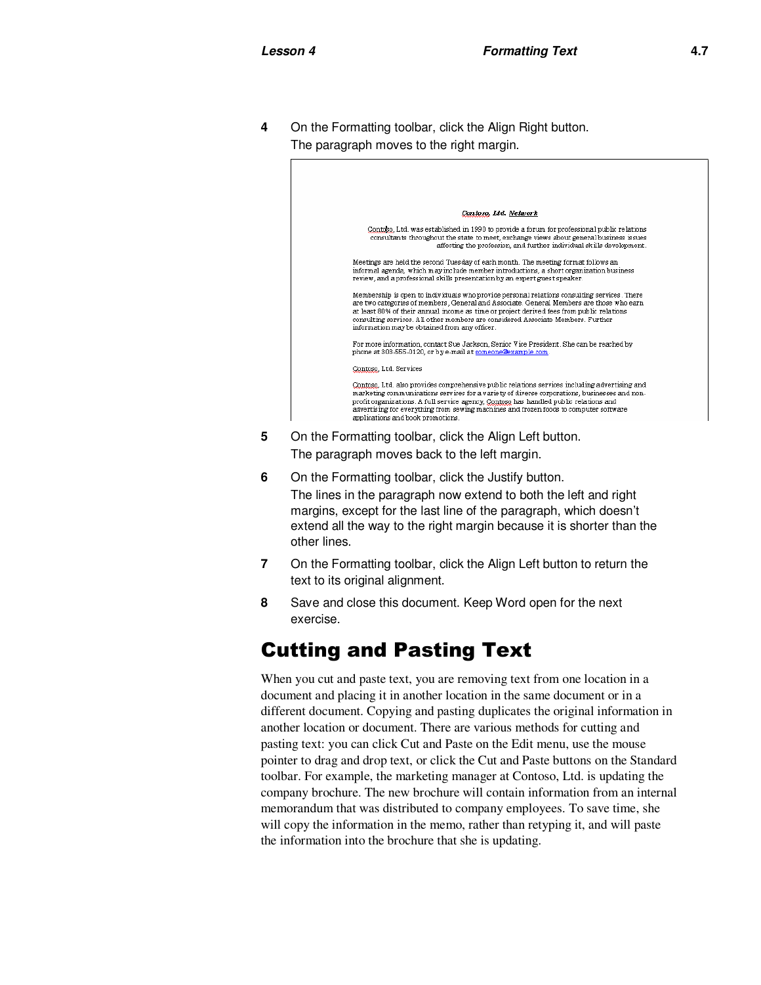**4** On the Formatting toolbar, click the Align Right button. The paragraph moves to the right margin.



- **5** On the Formatting toolbar, click the Align Left button. The paragraph moves back to the left margin.
- **6** On the Formatting toolbar, click the Justify button.
	- The lines in the paragraph now extend to both the left and right margins, except for the last line of the paragraph, which doesn't extend all the way to the right margin because it is shorter than the other lines.
- **7** On the Formatting toolbar, click the Align Left button to return the text to its original alignment.
- **8** Save and close this document. Keep Word open for the next exercise.

# Cutting and Pasting Text

When you cut and paste text, you are removing text from one location in a document and placing it in another location in the same document or in a different document. Copying and pasting duplicates the original information in another location or document. There are various methods for cutting and pasting text: you can click Cut and Paste on the Edit menu, use the mouse pointer to drag and drop text, or click the Cut and Paste buttons on the Standard toolbar. For example, the marketing manager at Contoso, Ltd. is updating the company brochure. The new brochure will contain information from an internal memorandum that was distributed to company employees. To save time, she will copy the information in the memo, rather than retyping it, and will paste the information into the brochure that she is updating.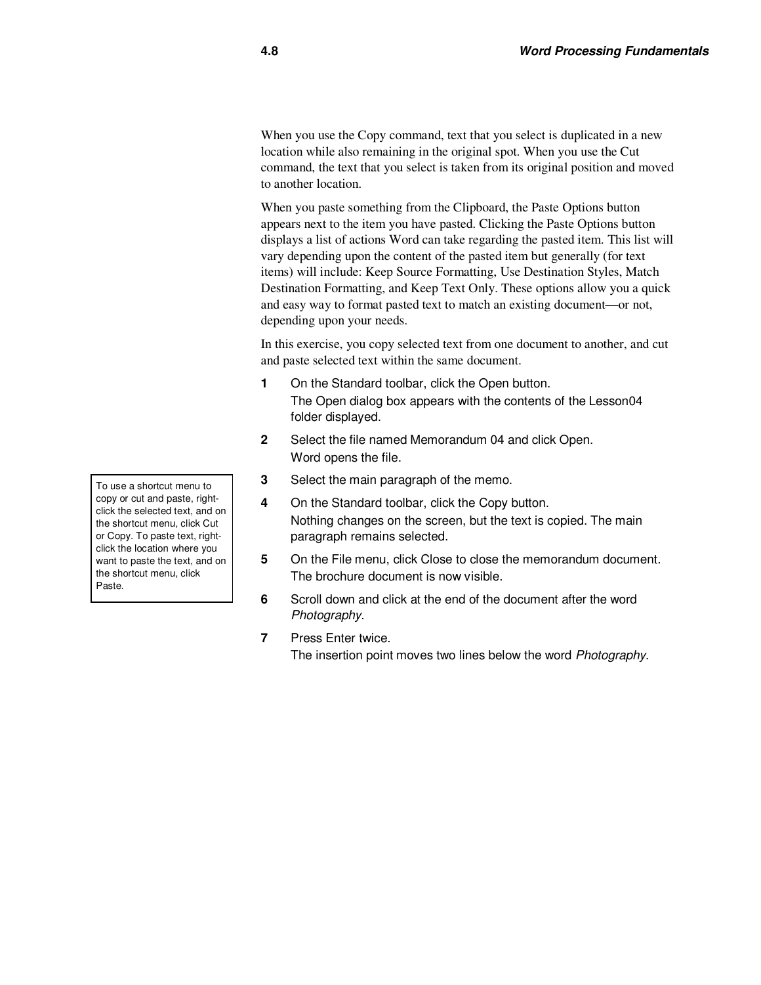When you use the Copy command, text that you select is duplicated in a new location while also remaining in the original spot. When you use the Cut command, the text that you select is taken from its original position and moved to another location.

When you paste something from the Clipboard, the Paste Options button appears next to the item you have pasted. Clicking the Paste Options button displays a list of actions Word can take regarding the pasted item. This list will vary depending upon the content of the pasted item but generally (for text items) will include: Keep Source Formatting, Use Destination Styles, Match Destination Formatting, and Keep Text Only. These options allow you a quick and easy way to format pasted text to match an existing document—or not, depending upon your needs.

In this exercise, you copy selected text from one document to another, and cut and paste selected text within the same document.

- **1** On the Standard toolbar, click the Open button. The Open dialog box appears with the contents of the Lesson04 folder displayed.
- **2** Select the file named Memorandum 04 and click Open. Word opens the file.
- **3** Select the main paragraph of the memo.
- **4** On the Standard toolbar, click the Copy button. Nothing changes on the screen, but the text is copied. The main paragraph remains selected.
- **5** On the File menu, click Close to close the memorandum document. The brochure document is now visible.
- **6** Scroll down and click at the end of the document after the word Photography.
- **7** Press Enter twice. The insertion point moves two lines below the word Photography.

click the selected text, and on the shortcut menu, click Cut or Copy. To paste text, rightclick the location where you want to paste the text, and on the shortcut menu, click Paste.

To use a shortcut menu to copy or cut and paste, right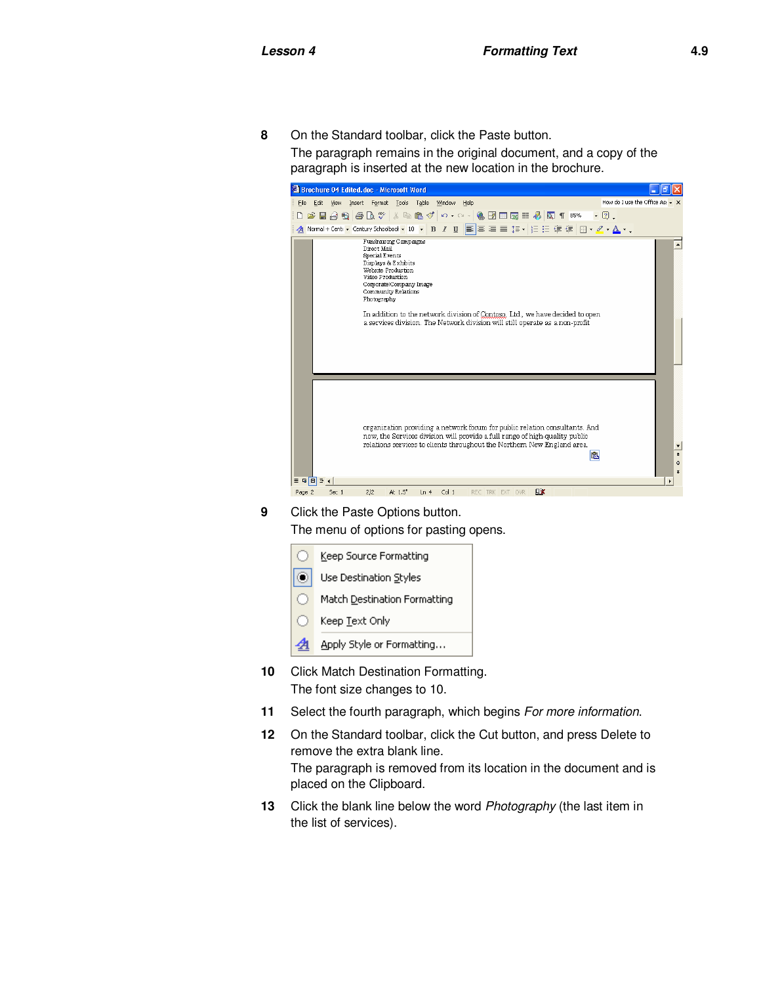**8** On the Standard toolbar, click the Paste button. The paragraph remains in the original document, and a copy of the



- **9** Click the Paste Options button. The menu of options for pasting opens.
	- Keep Source Formatting  $\circ$ ◉⊩ Use Destination Styles Match Destination Formatting 0. О Keep Text Only 4 Apply Style or Formatting...
- **10** Click Match Destination Formatting. The font size changes to 10.
- **11** Select the fourth paragraph, which begins For more information.
- **12** On the Standard toolbar, click the Cut button, and press Delete to remove the extra blank line. The paragraph is removed from its location in the document and is placed on the Clipboard.
- **13** Click the blank line below the word Photography (the last item in the list of services).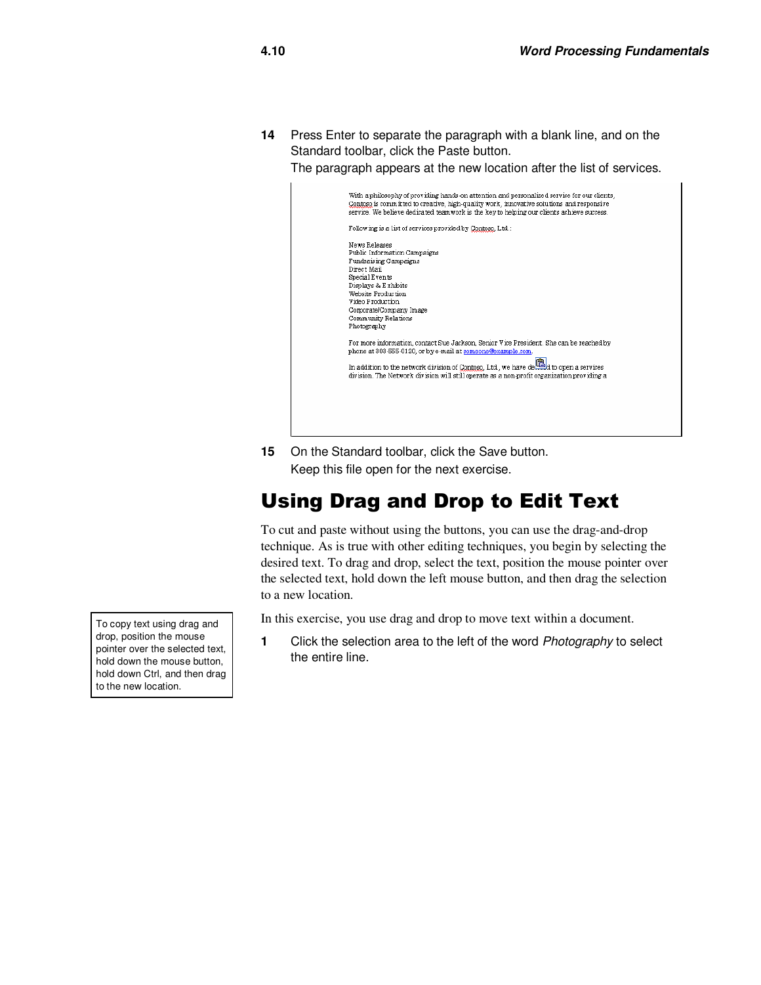**14** Press Enter to separate the paragraph with a blank line, and on the Standard toolbar, click the Paste button.

The paragraph appears at the new location after the list of services.

| With a philosophy of providing hands-on attention and personalized service for our clients,<br>Contoso is committed to creative, high-quality work, innovative solutions and responsive<br>service. We believe dedicated teamwork is the key to helping our clients achieve success. |
|--------------------------------------------------------------------------------------------------------------------------------------------------------------------------------------------------------------------------------------------------------------------------------------|
| Following is a list of services provided by Contoso, Ltd.:                                                                                                                                                                                                                           |
| News Releases<br>Public Information Campaigns<br>Fundraising Campaigns<br>Direct Mail<br>Special Events<br>Displays & Exhibits<br>Website Production<br>Video Production<br>Corporate/Company Image<br>Community Relations<br>Photography                                            |
| For more information, contact Sue Jackson, Senior Vice President. She can be reached by<br>phone at 303-555-0120, or by e-mail at someone@example.com.                                                                                                                               |
| In addition to the network division of $\mathcal{G}_{\text{OMMSQ}}$ , Ltd., we have determine to open a services<br>division. The Network division will still operate as a non-profit organization providing a                                                                       |
|                                                                                                                                                                                                                                                                                      |
|                                                                                                                                                                                                                                                                                      |
|                                                                                                                                                                                                                                                                                      |

**15** On the Standard toolbar, click the Save button. Keep this file open for the next exercise.

# Using Drag and Drop to Edit Text

To cut and paste without using the buttons, you can use the drag-and-drop technique. As is true with other editing techniques, you begin by selecting the desired text. To drag and drop, select the text, position the mouse pointer over the selected text, hold down the left mouse button, and then drag the selection to a new location.

In this exercise, you use drag and drop to move text within a document.

**1** Click the selection area to the left of the word Photography to select the entire line.

To copy text using drag and drop, position the mouse pointer over the selected text, hold down the mouse button, hold down Ctrl, and then drag to the new location.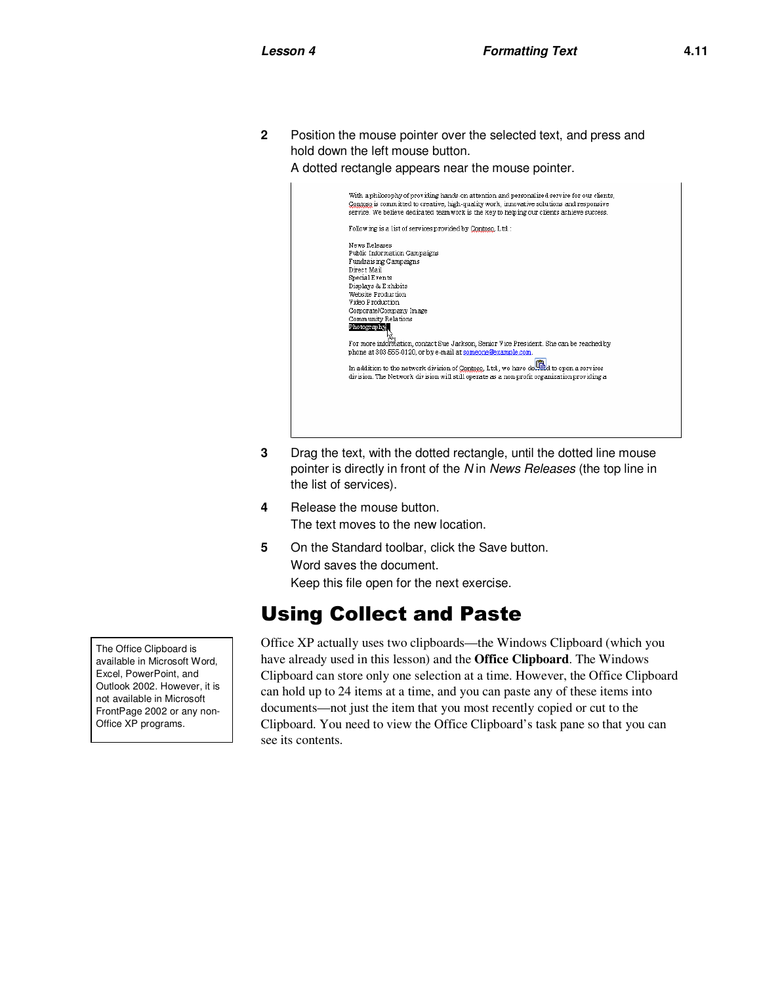**2** Position the mouse pointer over the selected text, and press and hold down the left mouse button.

A dotted rectangle appears near the mouse pointer.

| With a philosophy of providing hands-on attention and personalized service for our clients,<br>Contoso is committed to creative, high-quality work, innovative solutions and responsive<br>service. We believe dedicated teamwork is the key to helping our clients achieve success.                                                                                                                                                                                                                                                                                                              |
|---------------------------------------------------------------------------------------------------------------------------------------------------------------------------------------------------------------------------------------------------------------------------------------------------------------------------------------------------------------------------------------------------------------------------------------------------------------------------------------------------------------------------------------------------------------------------------------------------|
| Following is a list of services provided by Contoso, Ltd.:                                                                                                                                                                                                                                                                                                                                                                                                                                                                                                                                        |
| News Releases<br>Public Information Campaigns<br>Fundraising Campaigns<br>Direct Mail<br>Special Events<br>Displays & Exhibits<br>Website Production<br>Video Production<br>Corporate/Company Image<br>Community Relations<br>Photography.<br>For more information, contact Sue Jackson, Senior Vice President. She can be reached by<br>phone at 303-555-0120, or by e-mail at someone@example.com.<br>In addition to the network division of $Q$ ontoso, Ltd., we have de that to open a services<br>division. The Network division will still operate as a non-profit organization providing a |
|                                                                                                                                                                                                                                                                                                                                                                                                                                                                                                                                                                                                   |
|                                                                                                                                                                                                                                                                                                                                                                                                                                                                                                                                                                                                   |

- **3** Drag the text, with the dotted rectangle, until the dotted line mouse pointer is directly in front of the N in News Releases (the top line in the list of services).
- **4** Release the mouse button. The text moves to the new location.
- **5** On the Standard toolbar, click the Save button. Word saves the document. Keep this file open for the next exercise.

# Using Collect and Paste

Office XP actually uses two clipboards—the Windows Clipboard (which you have already used in this lesson) and the **Office Clipboard**. The Windows Clipboard can store only one selection at a time. However, the Office Clipboard can hold up to 24 items at a time, and you can paste any of these items into documents—not just the item that you most recently copied or cut to the Clipboard. You need to view the Office Clipboard's task pane so that you can see its contents.

The Office Clipboard is available in Microsoft Word, Excel, PowerPoint, and Outlook 2002. However, it is not available in Microsoft FrontPage 2002 or any non-Office XP programs.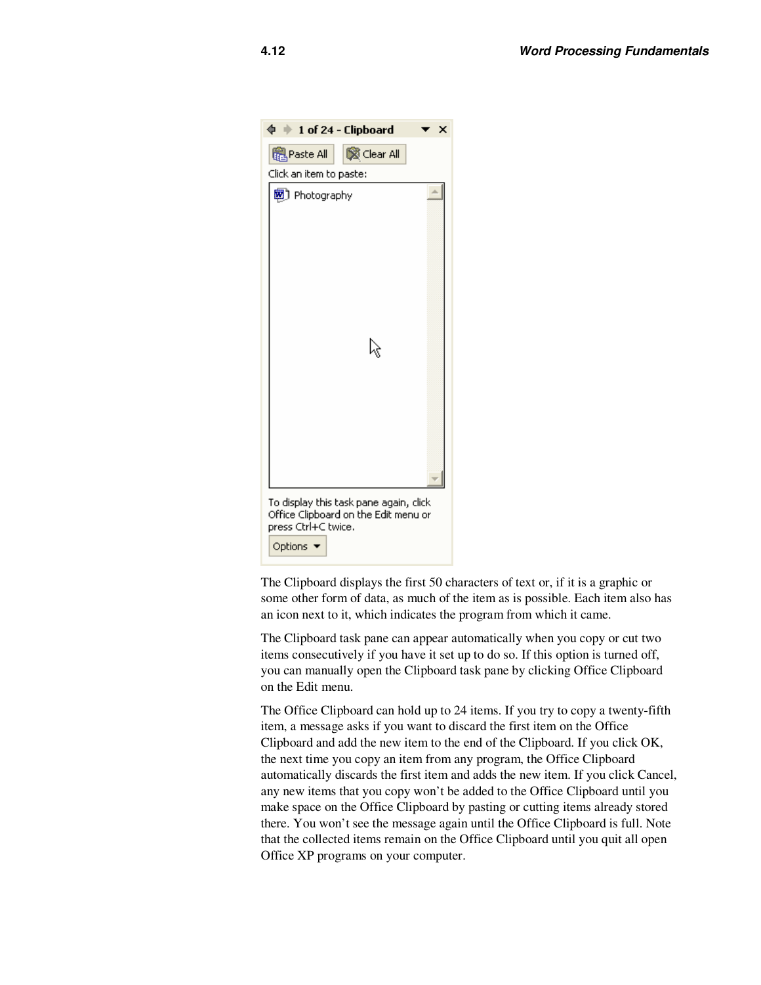| ♦ ♦ 1 of 24 - Clipboard                                                        |
|--------------------------------------------------------------------------------|
|                                                                                |
| Click an item to paste:                                                        |
| 网) Photography                                                                 |
|                                                                                |
|                                                                                |
|                                                                                |
|                                                                                |
|                                                                                |
|                                                                                |
|                                                                                |
|                                                                                |
|                                                                                |
|                                                                                |
|                                                                                |
|                                                                                |
|                                                                                |
| To display this task pane again, click<br>Office Clipboard on the Edit menu or |
| press Ctrl+C twice.                                                            |
| Options $\blacktriangledown$                                                   |

The Clipboard displays the first 50 characters of text or, if it is a graphic or some other form of data, as much of the item as is possible. Each item also has an icon next to it, which indicates the program from which it came.

The Clipboard task pane can appear automatically when you copy or cut two items consecutively if you have it set up to do so. If this option is turned off, you can manually open the Clipboard task pane by clicking Office Clipboard on the Edit menu.

The Office Clipboard can hold up to 24 items. If you try to copy a twenty-fifth item, a message asks if you want to discard the first item on the Office Clipboard and add the new item to the end of the Clipboard. If you click OK, the next time you copy an item from any program, the Office Clipboard automatically discards the first item and adds the new item. If you click Cancel, any new items that you copy won't be added to the Office Clipboard until you make space on the Office Clipboard by pasting or cutting items already stored there. You won't see the message again until the Office Clipboard is full. Note that the collected items remain on the Office Clipboard until you quit all open Office XP programs on your computer.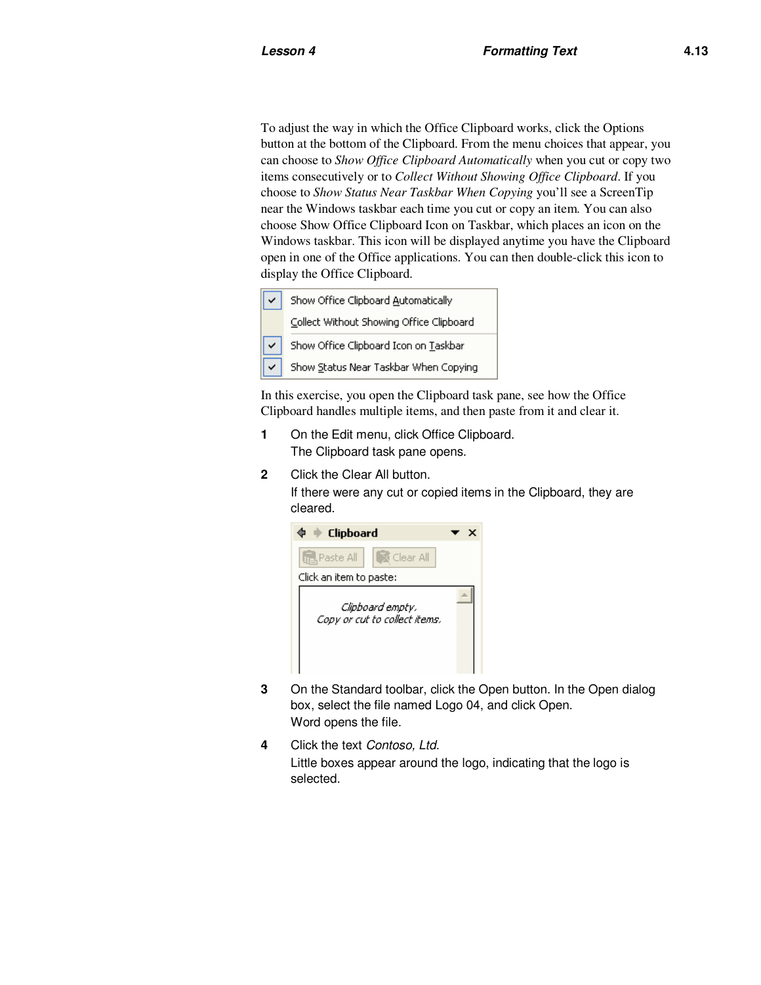To adjust the way in which the Office Clipboard works, click the Options button at the bottom of the Clipboard. From the menu choices that appear, you can choose to *Show Office Clipboard Automatically* when you cut or copy two items consecutively or to *Collect Without Showing Office Clipboard*. If you choose to *Show Status Near Taskbar When Copying* you'll see a ScreenTip near the Windows taskbar each time you cut or copy an item. You can also choose Show Office Clipboard Icon on Taskbar, which places an icon on the Windows taskbar. This icon will be displayed anytime you have the Clipboard open in one of the Office applications. You can then double-click this icon to display the Office Clipboard.

| $\checkmark$ | Show Office Clipboard Automatically      |  |  |
|--------------|------------------------------------------|--|--|
|              | Collect Without Showing Office Clipboard |  |  |
| $\checkmark$ | Show Office Clipboard Icon on Taskbar    |  |  |
|              | Show Status Near Taskbar When Copying    |  |  |

In this exercise, you open the Clipboard task pane, see how the Office Clipboard handles multiple items, and then paste from it and clear it.

- **1** On the Edit menu, click Office Clipboard. The Clipboard task pane opens.
- **2** Click the Clear All button.

If there were any cut or copied items in the Clipboard, they are cleared.



- **3** On the Standard toolbar, click the Open button. In the Open dialog box, select the file named Logo 04, and click Open. Word opens the file.
- **4** Click the text Contoso, Ltd. Little boxes appear around the logo, indicating that the logo is selected.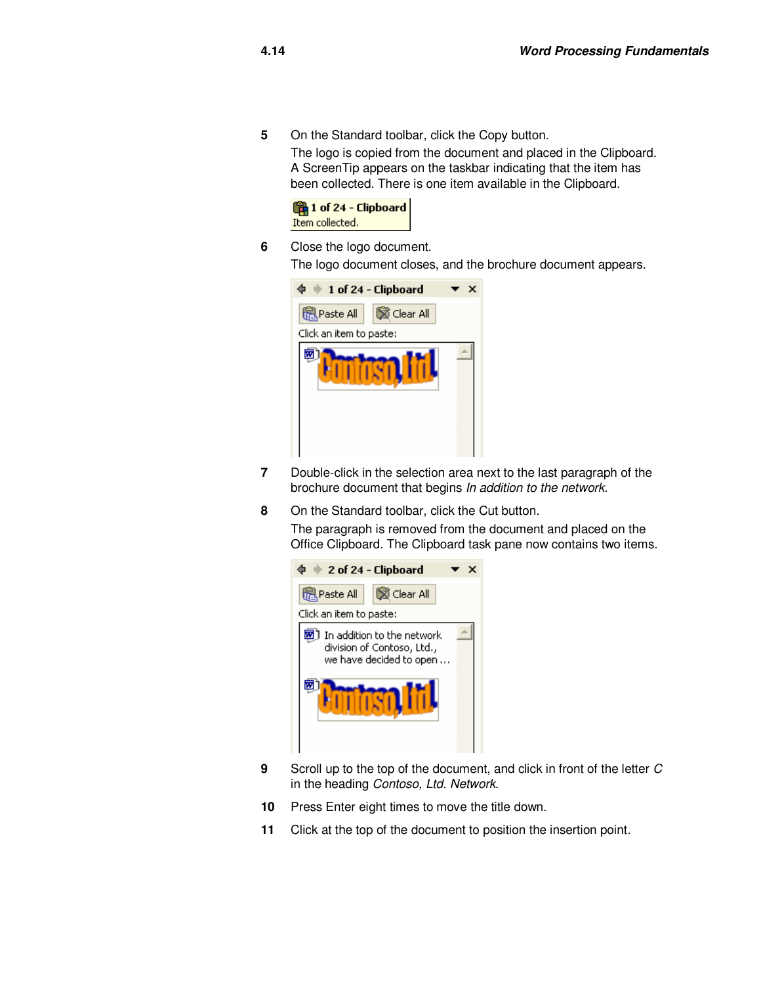**5** On the Standard toolbar, click the Copy button.

The logo is copied from the document and placed in the Clipboard. A ScreenTip appears on the taskbar indicating that the item has been collected. There is one item available in the Clipboard.

| 1 of 24 - Clipboard |
|---------------------|
| Item collected.     |

**6** Close the logo document.

The logo document closes, and the brochure document appears.

|                         | □ ➡ 1 of 24 - Clipboard | × |
|-------------------------|-------------------------|---|
| 6 Paste All             | Clear All               |   |
| Click an item to paste: |                         |   |
|                         |                         |   |

- **7** Double-click in the selection area next to the last paragraph of the brochure document that begins In addition to the network.
- **8** On the Standard toolbar, click the Cut button. The paragraph is removed from the document and placed on the Office Clipboard. The Clipboard task pane now contains two items.



- **9** Scroll up to the top of the document, and click in front of the letter C in the heading Contoso, Ltd. Network.
- **10** Press Enter eight times to move the title down.
- **11** Click at the top of the document to position the insertion point.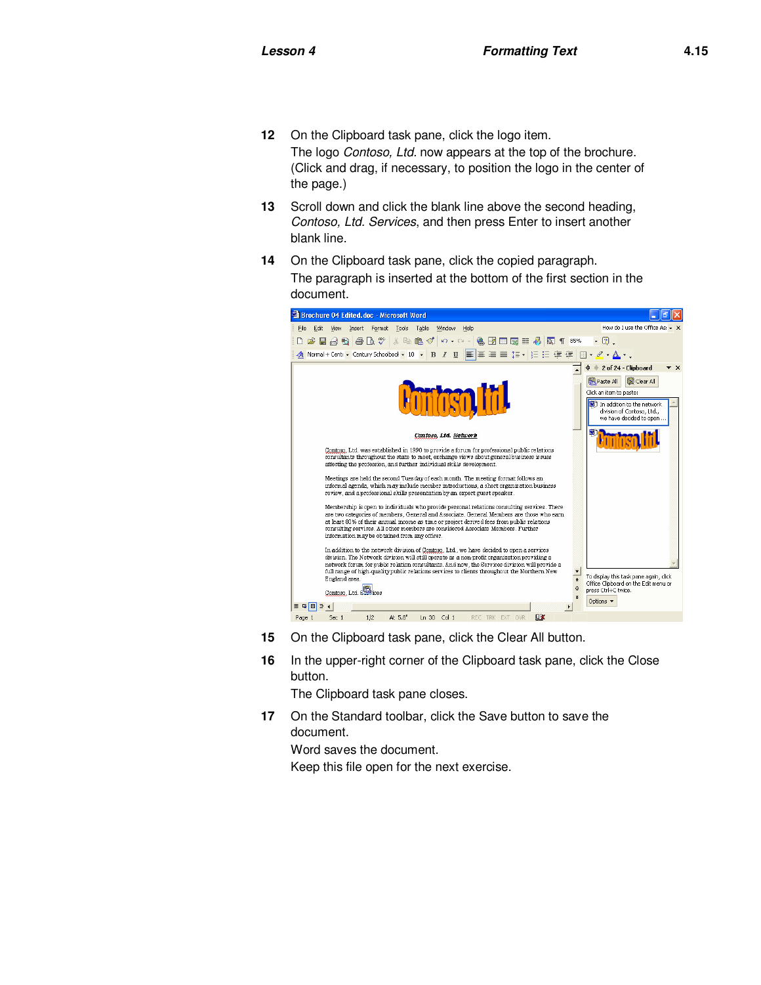- **12** On the Clipboard task pane, click the logo item. The logo Contoso, Ltd. now appears at the top of the brochure. (Click and drag, if necessary, to position the logo in the center of the page.)
- **13** Scroll down and click the blank line above the second heading, Contoso, Ltd. Services, and then press Enter to insert another blank line.
- **14** On the Clipboard task pane, click the copied paragraph. The paragraph is inserted at the bottom of the first section in the document.



- **15** On the Clipboard task pane, click the Clear All button.
- **16** In the upper-right corner of the Clipboard task pane, click the Close button.

The Clipboard task pane closes.

**17** On the Standard toolbar, click the Save button to save the document. Word saves the document.

Keep this file open for the next exercise.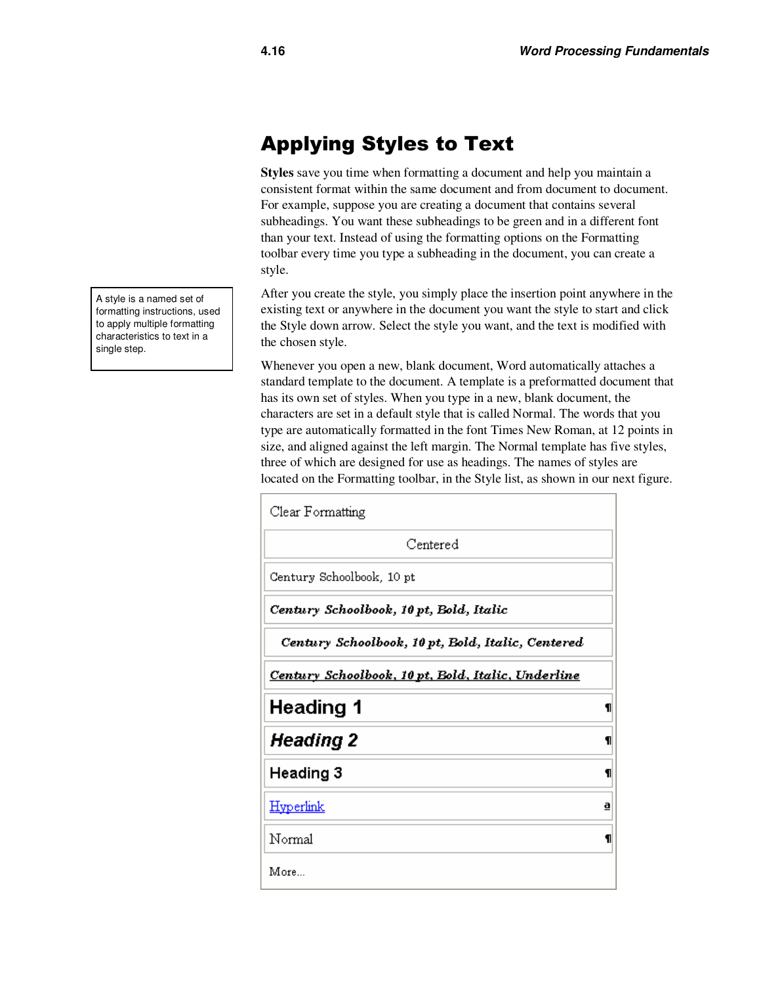# Applying Styles to Text

**Styles** save you time when formatting a document and help you maintain a consistent format within the same document and from document to document. For example, suppose you are creating a document that contains several subheadings. You want these subheadings to be green and in a different font than your text. Instead of using the formatting options on the Formatting toolbar every time you type a subheading in the document, you can create a style.

After you create the style, you simply place the insertion point anywhere in the existing text or anywhere in the document you want the style to start and click the Style down arrow. Select the style you want, and the text is modified with the chosen style.

Whenever you open a new, blank document, Word automatically attaches a standard template to the document. A template is a preformatted document that has its own set of styles. When you type in a new, blank document, the characters are set in a default style that is called Normal. The words that you type are automatically formatted in the font Times New Roman, at 12 points in size, and aligned against the left margin. The Normal template has five styles, three of which are designed for use as headings. The names of styles are located on the Formatting toolbar, in the Style list, as shown in our next figure.

| Clear Formatting                                          |   |  |
|-----------------------------------------------------------|---|--|
| Centered                                                  |   |  |
| Century Schoolbook, 10 pt                                 |   |  |
| Century Schoolbook, 10 pt, Bold, Italic                   |   |  |
| Century Schoolbook, 10 pt, Bold, Italic, Centered         |   |  |
| <b>Century Schoolbook, 10 pt, Bold, Italic, Underline</b> |   |  |
| <b>Heading 1</b>                                          | 1 |  |
| <b>Heading 2</b>                                          | 1 |  |
| Heading 3                                                 | 1 |  |
| <b>Hyperlink</b>                                          | ₫ |  |
| Normal                                                    | 1 |  |
| More                                                      |   |  |

A style is a named set of formatting instructions, used to apply multiple formatting characteristics to text in a single step.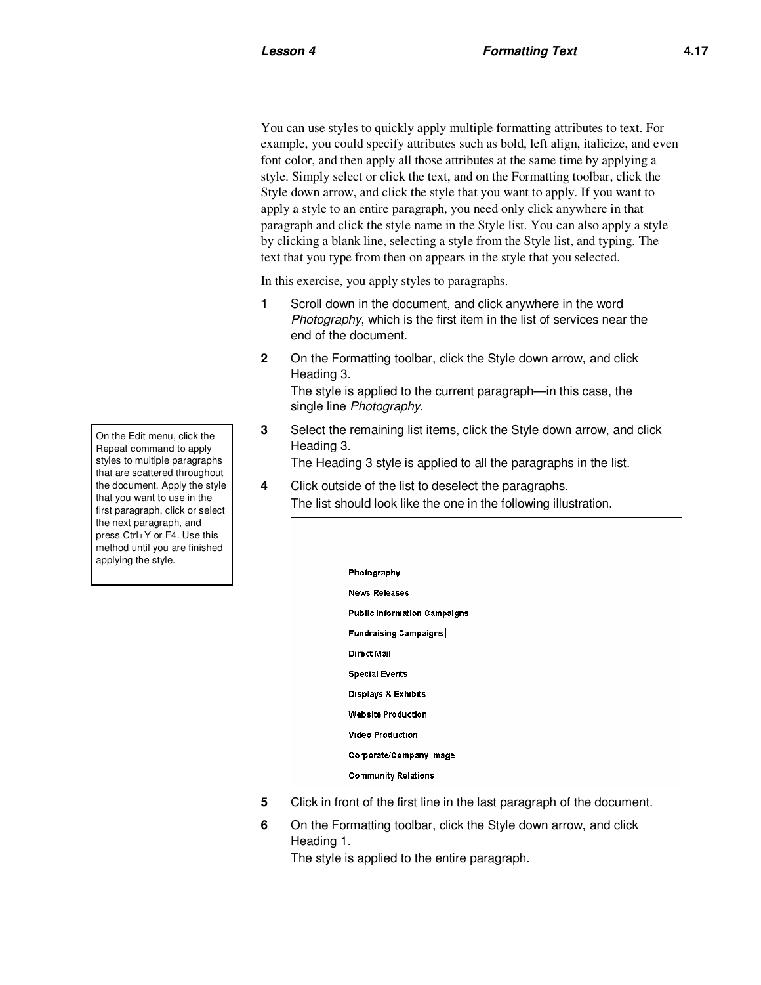You can use styles to quickly apply multiple formatting attributes to text. For example, you could specify attributes such as bold, left align, italicize, and even font color, and then apply all those attributes at the same time by applying a style. Simply select or click the text, and on the Formatting toolbar, click the Style down arrow, and click the style that you want to apply. If you want to apply a style to an entire paragraph, you need only click anywhere in that paragraph and click the style name in the Style list. You can also apply a style by clicking a blank line, selecting a style from the Style list, and typing. The text that you type from then on appears in the style that you selected.

In this exercise, you apply styles to paragraphs.

- **1** Scroll down in the document, and click anywhere in the word Photography, which is the first item in the list of services near the end of the document.
- **2** On the Formatting toolbar, click the Style down arrow, and click Heading 3.

The style is applied to the current paragraph—in this case, the single line Photography.

**3** Select the remaining list items, click the Style down arrow, and click Heading 3.

The Heading 3 style is applied to all the paragraphs in the list.

- **4** Click outside of the list to deselect the paragraphs. The list should look like the one in the following illustration.
	- Photography **News Releases Public Information Campaigns** Fundraising Campaigns **Direct Mail Special Events** Displays & Exhibits **Website Production** Video Production Corporate/Company Image **Community Relations**

**5** Click in front of the first line in the last paragraph of the document.

**6** On the Formatting toolbar, click the Style down arrow, and click Heading 1.

The style is applied to the entire paragraph.

On the Edit menu, click the Repeat command to apply styles to multiple paragraphs that are scattered throughout the document. Apply the style that you want to use in the first paragraph, click or select the next paragraph, and press Ctrl+Y or F4. Use this method until you are finished applying the style.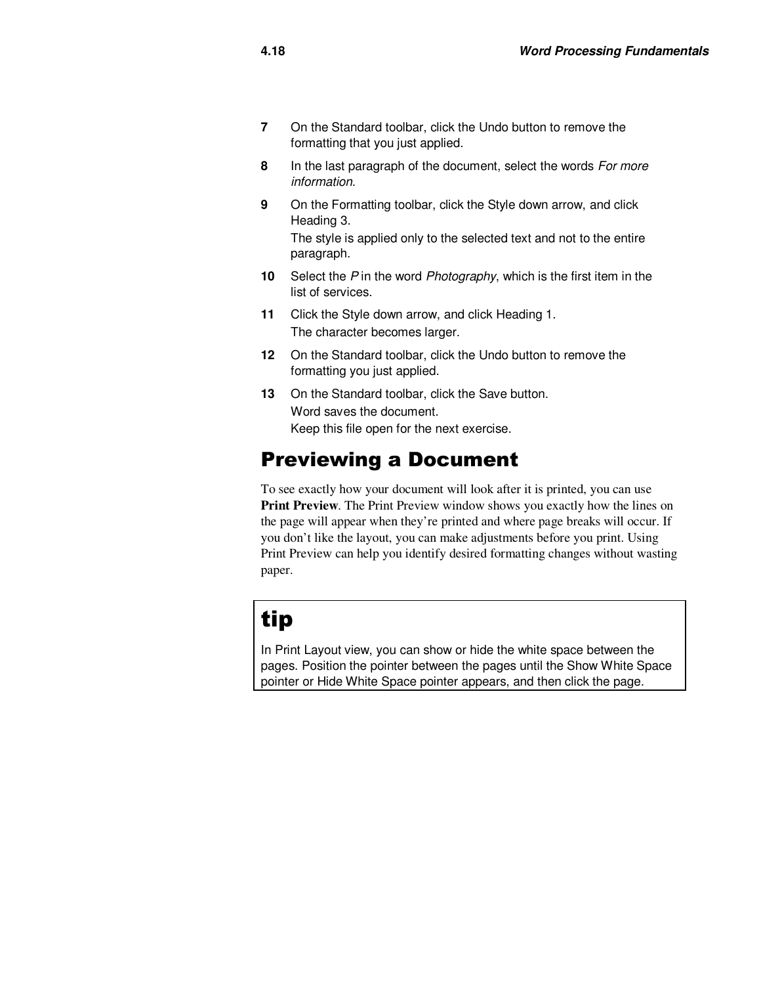- **7** On the Standard toolbar, click the Undo button to remove the formatting that you just applied.
- **8** In the last paragraph of the document, select the words For more information.
- **9** On the Formatting toolbar, click the Style down arrow, and click Heading 3.

The style is applied only to the selected text and not to the entire paragraph.

- **10** Select the P in the word Photography, which is the first item in the list of services.
- **11** Click the Style down arrow, and click Heading 1. The character becomes larger.
- **12** On the Standard toolbar, click the Undo button to remove the formatting you just applied.
- **13** On the Standard toolbar, click the Save button. Word saves the document. Keep this file open for the next exercise.

# Previewing a Document

To see exactly how your document will look after it is printed, you can use **Print Preview**. The Print Preview window shows you exactly how the lines on the page will appear when they're printed and where page breaks will occur. If you don't like the layout, you can make adjustments before you print. Using Print Preview can help you identify desired formatting changes without wasting paper.

# tip

In Print Layout view, you can show or hide the white space between the pages. Position the pointer between the pages until the Show White Space pointer or Hide White Space pointer appears, and then click the page.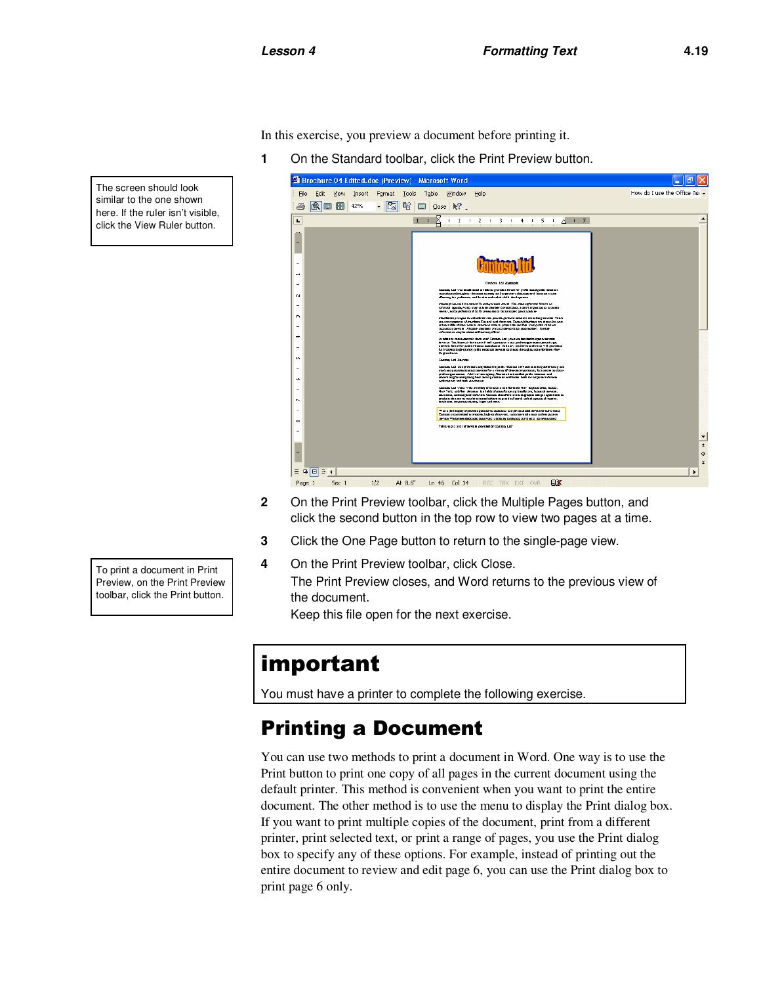In this exercise, you preview a document before printing it.

**1** On the Standard toolbar, click the Print Preview button.



- **2** On the Print Preview toolbar, click the Multiple Pages button, and click the second button in the top row to view two pages at a time.
- **3** Click the One Page button to return to the single-page view.
- **4** On the Print Preview toolbar, click Close. The Print Preview closes, and Word returns to the previous view of the document.

Keep this file open for the next exercise.

# important

You must have a printer to complete the following exercise.

# Printing a Document

You can use two methods to print a document in Word. One way is to use the Print button to print one copy of all pages in the current document using the default printer. This method is convenient when you want to print the entire document. The other method is to use the menu to display the Print dialog box. If you want to print multiple copies of the document, print from a different printer, print selected text, or print a range of pages, you use the Print dialog box to specify any of these options. For example, instead of printing out the entire document to review and edit page 6, you can use the Print dialog box to print page 6 only.

The screen should look similar to the one shown here. If the ruler isn't visible, click the View Ruler button.

To print a document in Print Preview, on the Print Preview toolbar, click the Print button.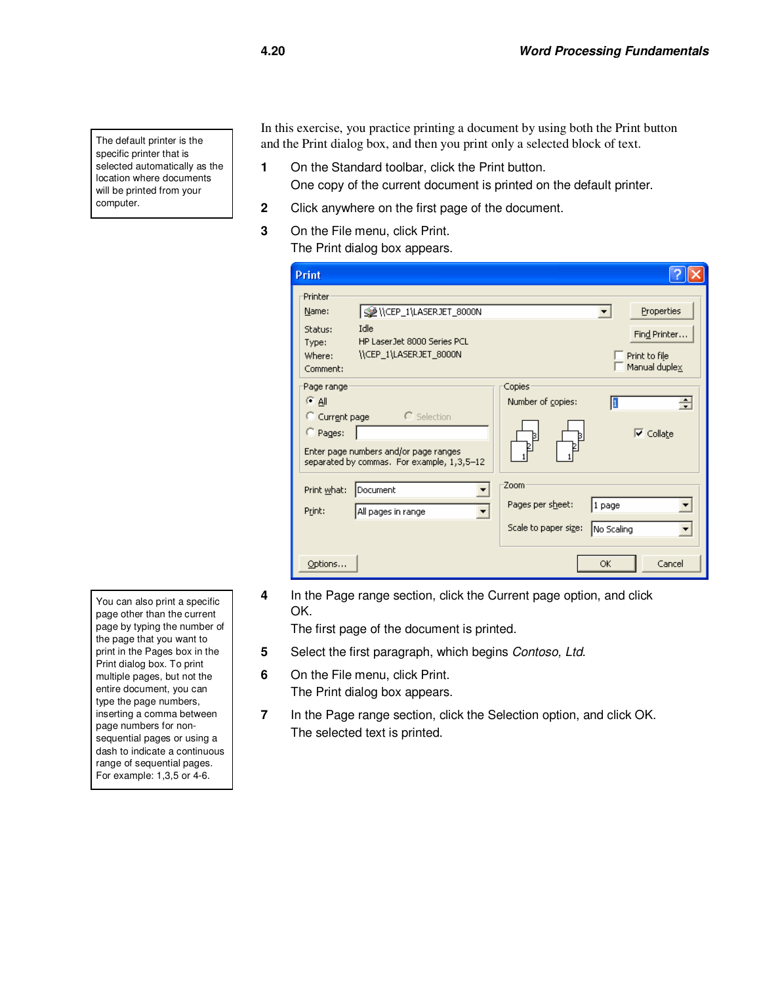The default printer is the specific printer that is selected automatically as the location where documents will be printed from your computer.

In this exercise, you practice printing a document by using both the Print button and the Print dialog box, and then you print only a selected block of text.

- **1** On the Standard toolbar, click the Print button. One copy of the current document is printed on the default printer.
- **2** Click anywhere on the first page of the document.
- **3** On the File menu, click Print.

| The Print dialog box appears.                                                                                                                                 |                                                  |                                                              |
|---------------------------------------------------------------------------------------------------------------------------------------------------------------|--------------------------------------------------|--------------------------------------------------------------|
| Print                                                                                                                                                         |                                                  |                                                              |
| Printer<br>SENCEP_1\LASERJET_8000N<br>Name:<br>Idle<br>Status:<br>HP LaserJet 8000 Series PCL<br>Type:<br>\\CEP_1\LASERJET_8000N<br>Where:<br>Comment:        |                                                  | Properties<br>Find Printer<br>Print to file<br>Manual duplex |
| Page range<br>ு து<br>$\Gamma$ Selection<br>C Current page<br>C Pages:<br>Enter page numbers and/or page ranges<br>separated by commas. For example, 1,3,5–12 | Copies<br>Number of copies:<br>ы                 | $\vert$ 1<br>÷<br>$\overline{\triangledown}$ Collate<br>Β    |
| Print what:<br>Document<br>Print:<br>All pages in range                                                                                                       | Zoom<br>Pages per sheet:<br>Scale to paper size: | 1 page<br>No Scaling                                         |
| Options                                                                                                                                                       |                                                  | Cancel<br>ОK                                                 |

**4** In the Page range section, click the Current page option, and click OK.

The first page of the document is printed.

- **5** Select the first paragraph, which begins Contoso, Ltd.
- **6** On the File menu, click Print. The Print dialog box appears.
- **7** In the Page range section, click the Selection option, and click OK. The selected text is printed.

You can also print a specific page other than the current page by typing the number of the page that you want to print in the Pages box in the Print dialog box. To print multiple pages, but not the entire document, you can type the page numbers, inserting a comma between page numbers for nonsequential pages or using a dash to indicate a continuous range of sequential pages. For example: 1,3,5 or 4-6.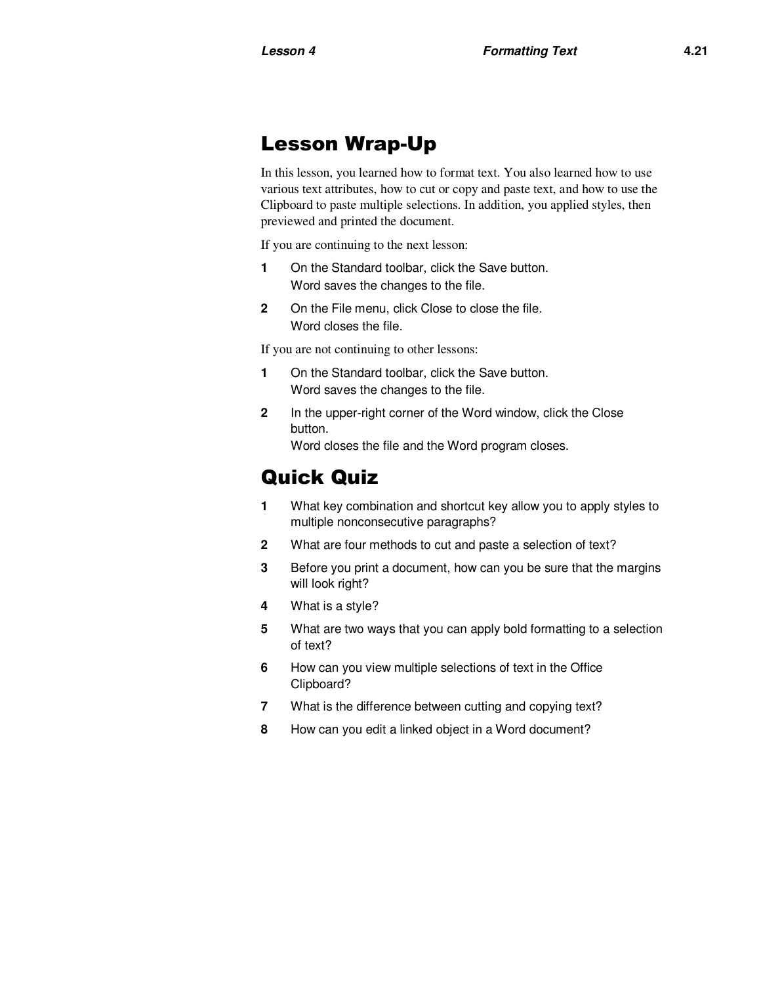# Lesson Wrap-Up

In this lesson, you learned how to format text. You also learned how to use various text attributes, how to cut or copy and paste text, and how to use the Clipboard to paste multiple selections. In addition, you applied styles, then previewed and printed the document.

If you are continuing to the next lesson:

- **1** On the Standard toolbar, click the Save button. Word saves the changes to the file.
- **2** On the File menu, click Close to close the file. Word closes the file.

If you are not continuing to other lessons:

- **1** On the Standard toolbar, click the Save button. Word saves the changes to the file.
- **2** In the upper-right corner of the Word window, click the Close button.

Word closes the file and the Word program closes.

# Quick Quiz

- **1** What key combination and shortcut key allow you to apply styles to multiple nonconsecutive paragraphs?
- **2** What are four methods to cut and paste a selection of text?
- **3** Before you print a document, how can you be sure that the margins will look right?
- **4** What is a style?
- **5** What are two ways that you can apply bold formatting to a selection of text?
- **6** How can you view multiple selections of text in the Office Clipboard?
- **7** What is the difference between cutting and copying text?
- **8** How can you edit a linked object in a Word document?